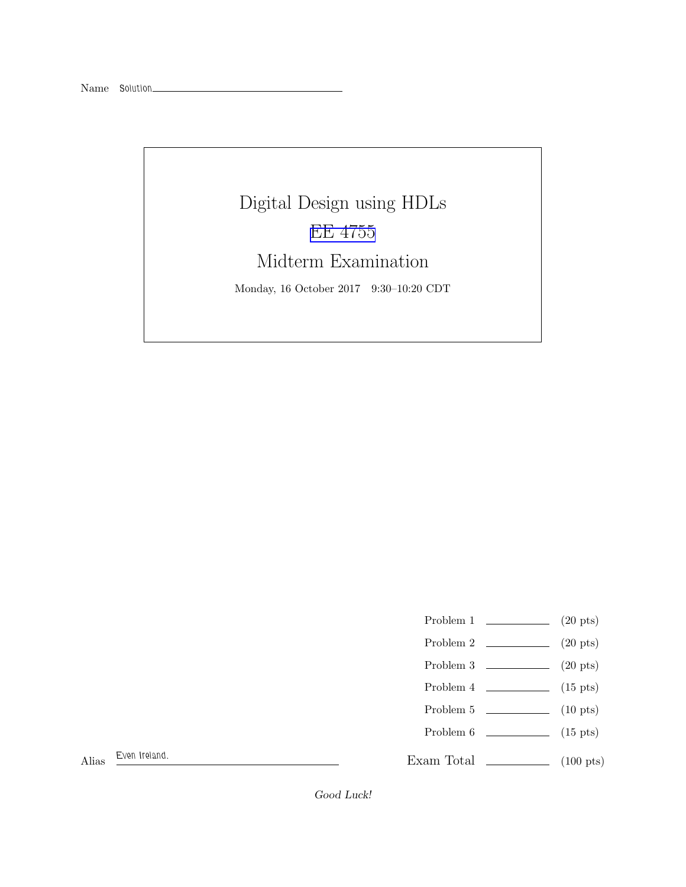

- Problem 1  $\qquad \qquad (20 \text{ pts})$
- Problem 2 (20 pts)
- Problem  $3 \t\t(20 \text{ pts})$
- Problem 4  $\qquad \qquad$  (15 pts)
- Problem 5 (10 pts)
- Problem 6 (15 pts)

Exam Total \_\_\_\_\_\_\_\_\_\_\_\_\_\_ (100 pts)

Alias Even Ireland.

Good Luck!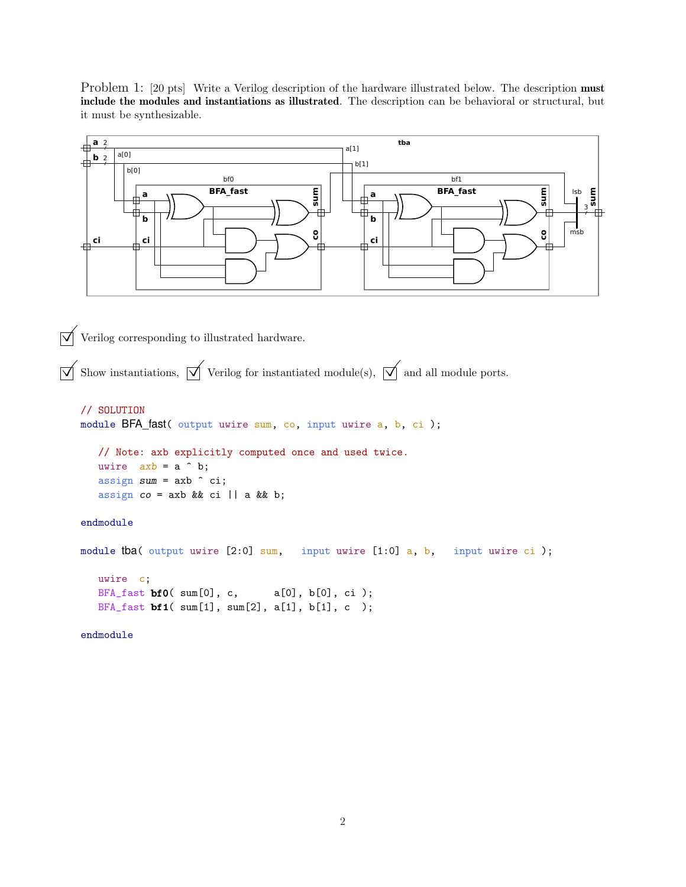Problem 1: [20 pts] Write a Verilog description of the hardware illustrated below. The description **must** include the modules and instantiations as illustrated. The description can be behavioral or structural, but it must be synthesizable.



 $\overrightarrow{\mathbf{V}}$  Verilog corresponding to illustrated hardware.

BFA\_fast bf1( sum[1], sum[2], a[1], b[1], c );

 $\overrightarrow{\mathcal{A}}$  Show instantiations,  $\overrightarrow{\mathcal{A}}$  Verilog for instantiated module(s),  $\overrightarrow{\mathcal{A}}$  and all module ports.

```
// SOLUTION
module BFA_fast( output uwire sum, co, input uwire a, b, ci );
   // Note: axb explicitly computed once and used twice.
   uwire axb = a \hat{b};
   assign sum = axb \hat{c} ci;
   assign co = axb && ci || a && b;
endmodule
module tba( output uwire [2:0] sum, input uwire [1:0] a, b, input uwire ci);
   uwire c;
   BFA_fast bf0( sum[0], c, a[0], b[0], ci );
```
endmodule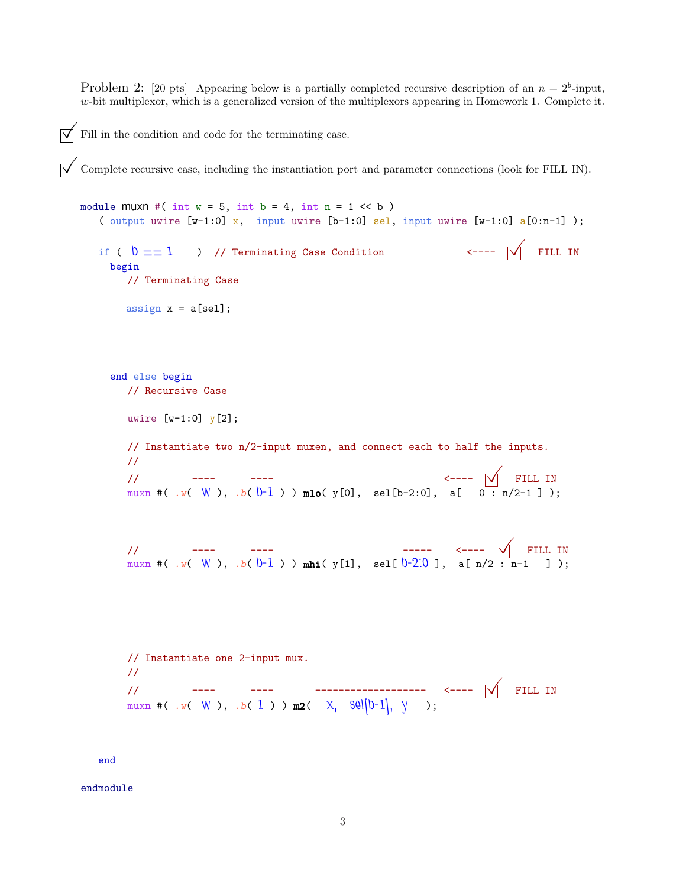Problem 2: [20 pts] Appearing below is a partially completed recursive description of an  $n = 2<sup>b</sup>$ -input,  $w$ -bit multiplexor, which is a generalized version of the multiplexors appearing in Homework 1. Complete it.

Fill in the condition and code for the terminating case.

 $\triangledown$  Complete recursive case, including the instantiation port and parameter connections (look for FILL IN).

```
module muxn \neq (int w = 5, int b = 4, int n = 1 \lt b)( output uwire [w-1:0] x, input uwire [b-1:0] sel, input uwire [w-1:0] a[0:n-1]);
  if ( b == 1 ) // Terminating Case Condition \checkmark FILL IN
    begin
      // Terminating Case
      assign x = a[sel];
    end else begin
      // Recursive Case
      uwire [w-1:0] y[2];
      // Instantiate two n/2-input muxen, and connect each to half the inputs.
      //
       // ---- ---- <----  FILL IN
       muxn #( .w( W ), .b(b-1 ) ) mlo( y[0], sel[b-2:0], a[ 0 \cdot n/2-1 ] );
       // ---- ---- ----- <----  FILL IN
       muxn #( .w( W ), .b(b-1 ) ) mhi( y[1], sel[b-2.0 ], a[n/2 : n-1 \quad] );
      // Instantiate one 2-input mux.
      //
       // ---- ---- ------------------- <----  FILL IN
       muxn #( .w( W ), .b( 1 ) ) m2( X, \text{Sel}[b-1], \text{y} );
  end
```
endmodule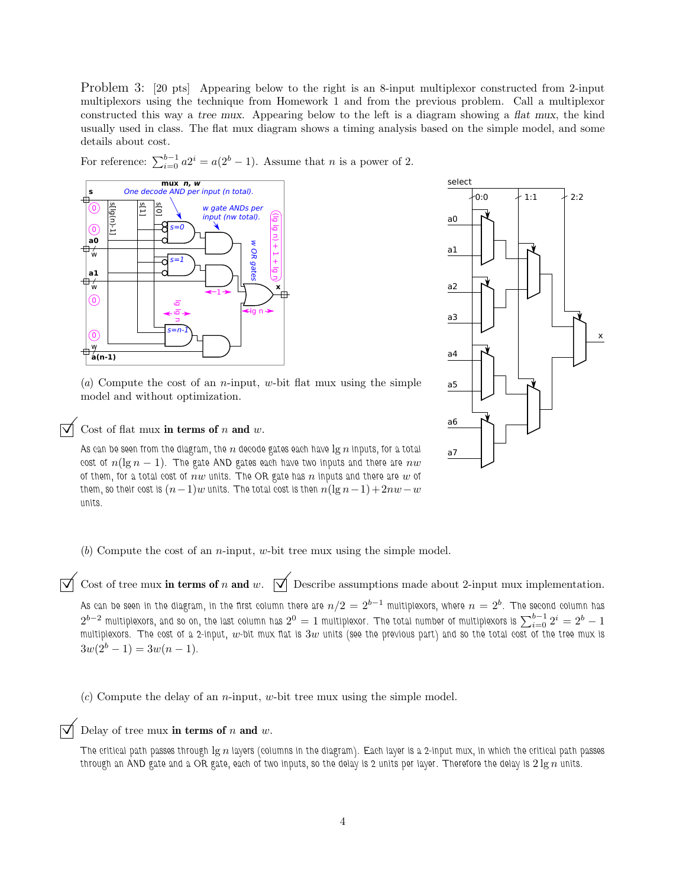Problem 3: [20 pts] Appearing below to the right is an 8-input multiplexor constructed from 2-input multiplexors using the technique from Homework 1 and from the previous problem. Call a multiplexor constructed this way a tree mux. Appearing below to the left is a diagram showing a flat mux, the kind usually used in class. The flat mux diagram shows a timing analysis based on the simple model, and some details about cost.

For reference:  $\sum_{i=0}^{b-1} a2^i = a(2^b - 1)$ . Assume that *n* is a power of 2.



(*a*) Compute the cost of an n-input, w-bit flat mux using the simple model and without optimization.

Cost of flat mux in terms of  $n$  and  $w$ .

As can be seen from the diagram, the  $n$  decode gates each have  $\lg n$  inputs, for a total cost of  $n(\lg n - 1)$ . The gate AND gates each have two inputs and there are  $nw$ of them, for a total cost of  $nw$  units. The OR gate has n inputs and there are w of them, so their cost is  $(n-1)w$  units. The total cost is then  $n(\lg n-1)+2nw-w$ units.



(*b*) Compute the cost of an n-input, w-bit tree mux using the simple model.

 $\vec{\triangledown}$  Cost of tree mux in terms of n and w.  $\vec{\triangledown}$  Describe assumptions made about 2-input mux implementation.

As can be seen in the diagram, in the first column there are  $n/2=2^{b-1}$  multiplexors, where  $n=2^b.$  The second column has  $2^{b-2}$  multiplexors, and so on, the last column has  $2^0=1$  multiplexor. The total number of multiplexors is  $\sum_{i=0}^{b-1} 2^i=2^b-1$ multiplexors. The cost of a 2-input, w-bit mux flat is  $3w$  units (see the previous part) and so the total cost of the tree mux is  $3w(2^b - 1) = 3w(n - 1).$ 

(*c*) Compute the delay of an n-input, w-bit tree mux using the simple model.

# Delay of tree mux in terms of  $n$  and  $w$ .

The critical path passes through  $\lg n$  layers (columns in the diagram). Each layer is a 2-input mux, in which the critical path passes through an AND gate and a OR gate, each of two inputs, so the delay is 2 units per layer. Therefore the delay is  $2 \lg n$  units.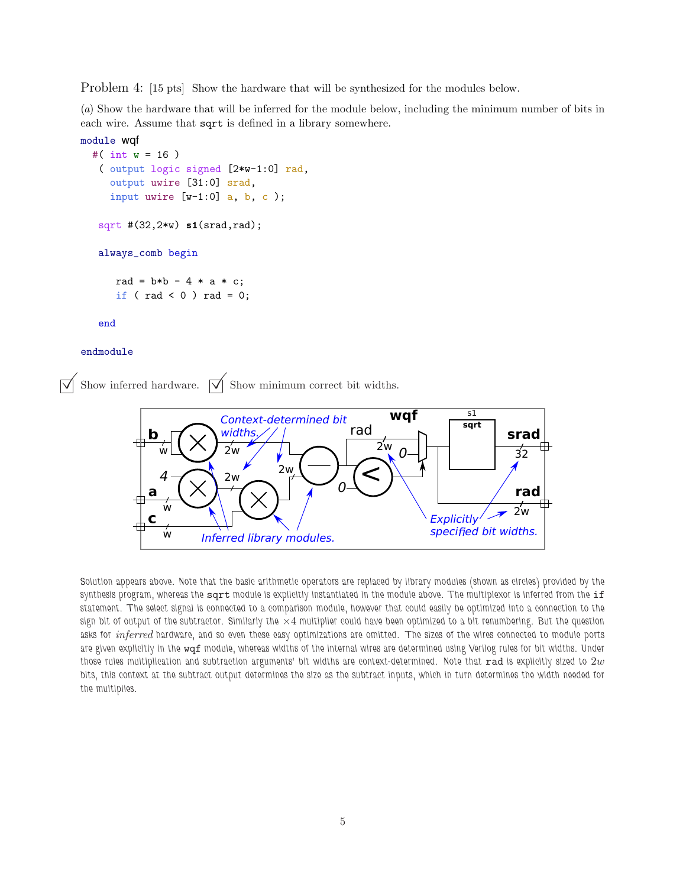Problem 4: [15 pts] Show the hardware that will be synthesized for the modules below.

(*a*) Show the hardware that will be inferred for the module below, including the minimum number of bits in each wire. Assume that sqrt is defined in a library somewhere.

```
module wqf
  #( int w = 16 )
   ( output logic signed [2*w-1:0] rad,
     output uwire [31:0] srad,
     input uwire [v-1:0] a, b, c);
   sqrt #(32,2*w) s1(srad,rad);
   always_comb begin
      rad = b*b - 4 * a * c;
      if ( rad < 0 ) rad = 0;
```
end

#### endmodule

Show inferred hardware.  $\overrightarrow{\bigvee}$  Show minimum correct bit widths.



Solution appears above. Note that the basic arithmetic operators are replaced by library modules (shown as circles) provided by the synthesis program, whereas the sqrt module is explicitly instantiated in the module above. The multiplexor is inferred from the if statement. The select signal is connected to a comparison module, however that could easily be optimized into a connection to the sign bit of output of the subtractor. Similarly the  $\times 4$  multiplier could have been optimized to a bit renumbering. But the question asks for *inferred* hardware, and so even these easy optimizations are omitted. The sizes of the wires connected to module ports are given explicitly in the wqf module, whereas widths of the internal wires are determined using Verilog rules for bit widths. Under those rules multiplication and subtraction arguments' bit widths are context-determined. Note that  $rad$  is explicitly sized to  $2w$ bits, this context at the subtract output determines the size as the subtract inputs, which in turn determines the width needed for the multiplies.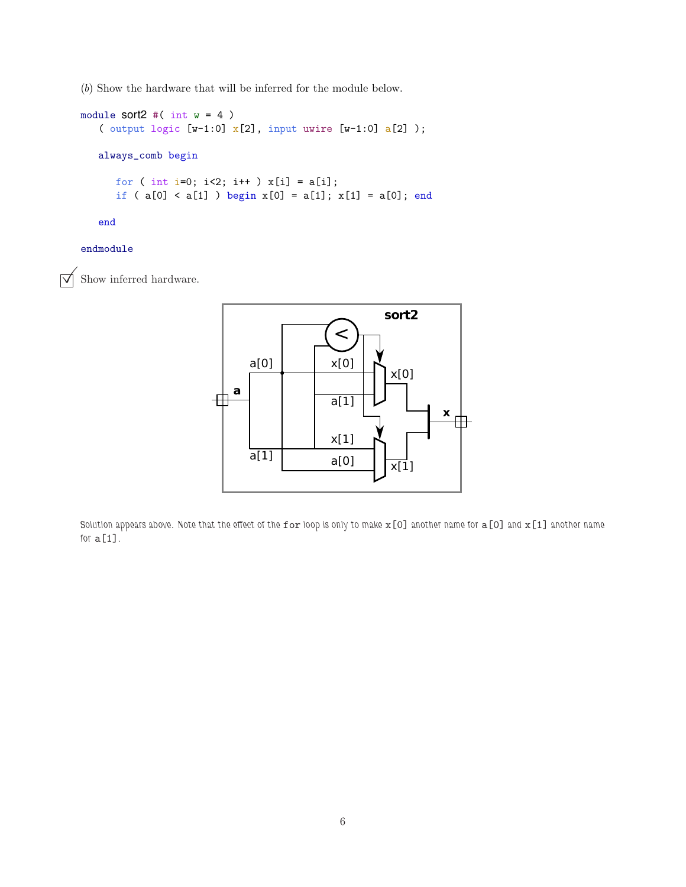(*b*) Show the hardware that will be inferred for the module below.

```
module sort2 \#( int w = 4 )( output logic [w-1:0] \overline{x}[2], input uwire [w-1:0] \overline{a}[2] );
   always_comb begin
      for ( int i=0; i<2; i++ ) x[i] = a[i];
      if ( a[0] < a[1] ) begin x[0] = a[1]; x[1] = a[0]; end
```
end

# endmodule

 $\triangledown$  Show inferred hardware.



Solution appears above. Note that the effect of the for loop is only to make  $x[0]$  another name for  $a[0]$  and  $x[1]$  another name for  $a[1]$ .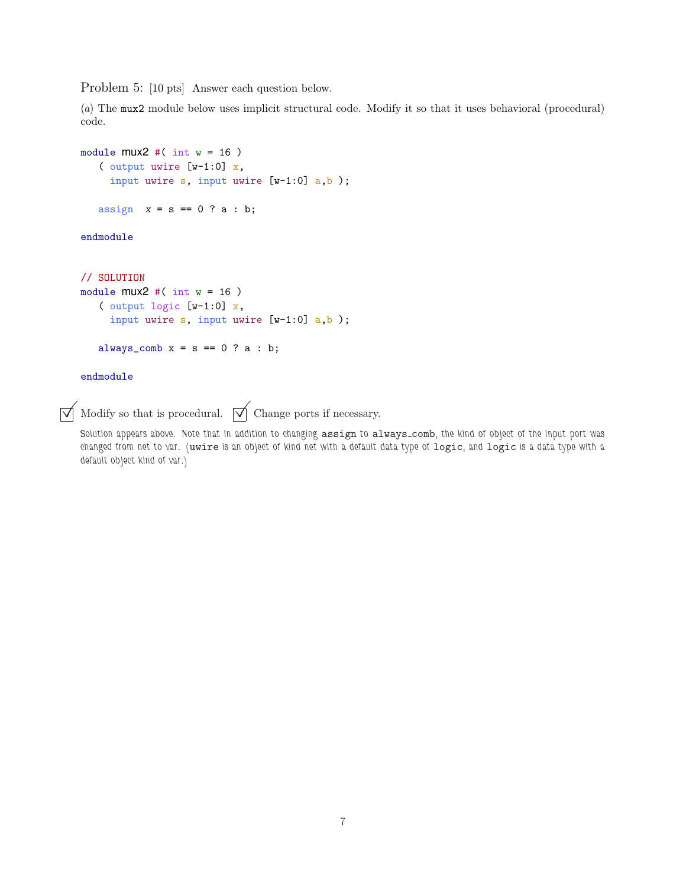Problem 5: [10 pts] Answer each question below.

(*a*) The mux2 module below uses implicit structural code. Modify it so that it uses behavioral (procedural) code.

```
module muX2 \#( int w = 16 )( output uwire [w-1:0] x,
     input uwire s, input uwire [w-1:0] a,b );
   assign x = s == 0 ? a : b;
endmodule
// SOLUTION
module mu2 \neq (int w = 16)( output logic [w-1:0] x,
     input uwire s, input uwire [w-1:0] a,b );
   always_comb x = s == 0 ? a : b;
```
# endmodule

 $\overrightarrow{\bigvee}$  Modify so that is procedural.  $\overrightarrow{\bigvee}$  Change ports if necessary.

Solution appears above. Note that in addition to changing assign to always comb, the kind of object of the input port was changed from net to var. (uwire is an object of kind net with a default data type of logic, and logic is a data type with a default object kind of var.)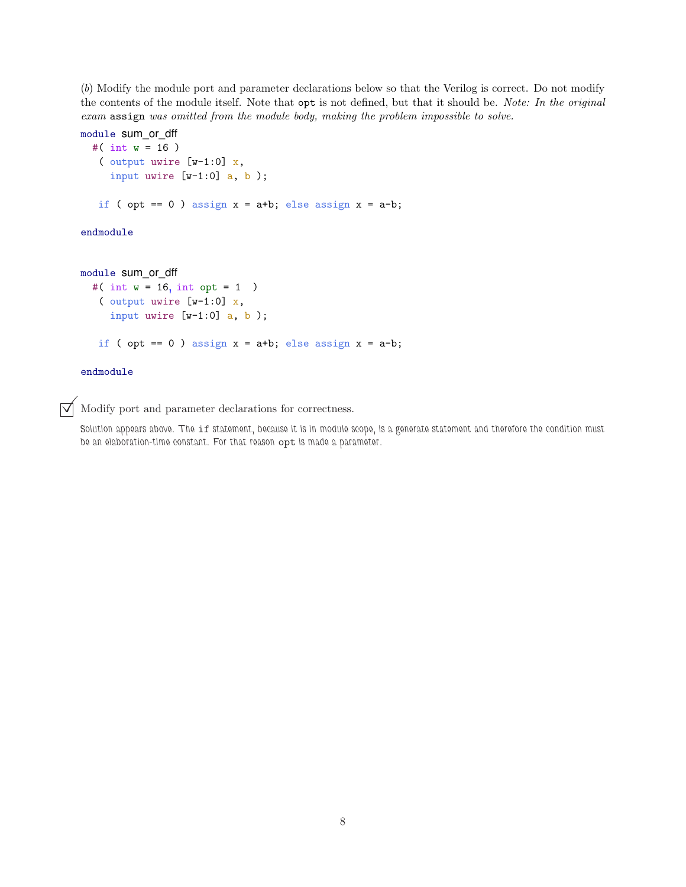(*b*) Modify the module port and parameter declarations below so that the Verilog is correct. Do not modify the contents of the module itself. Note that opt is not defined, but that it should be. *Note: In the original exam* assign *was omitted from the module body, making the problem impossible to solve.*

```
module sum_or_dff
  #( int w = 16 )
   ( output uwire [v-1:0] x,
     input uwire [w-1:0] a, b );
   if ( opt == 0 ) assign x = a+b; else assign x = a-b;
endmodule
module sum_or_dff
  #( int w = 16, int opt = 1)
   ( output uwire [w-1:0] x,
    input uwire [v-1:0] a, b);
   if ( opt == 0 ) assign x = a+b; else assign x = a-b;
endmodule
```
 $\triangledown$  Modify port and parameter declarations for correctness.

Solution appears above. The if statement, because it is in module scope, is a generate statement and therefore the condition must be an elaboration-time constant. For that reason opt is made a parameter.